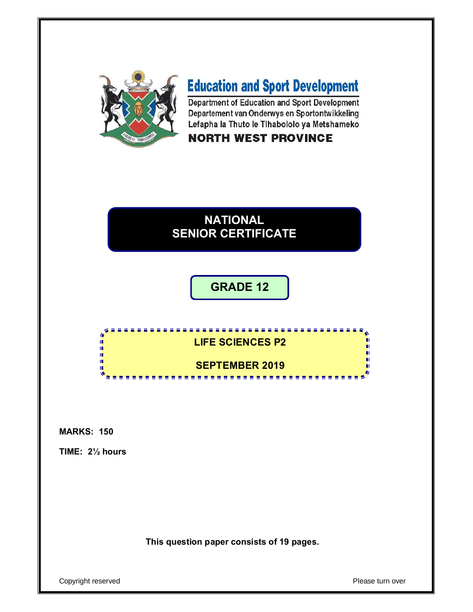

# **Education and Sport Development**

Department of Education and Sport Development Departement van Onderwys en Sportontwikkeling Lefapha la Thuto le Tihabololo ya Metshameko

## **NORTH WEST PROVINCE**

## **NATIONAL SENIOR CERTIFICATE**

## **GRADE 12**

## **LIFE SCIENCES P2 SEPTEMBER 2019**

**All All And** 

#### **MARKS: 150**

**TIME: 2½ hours**

f. 唓 ú, ú, ú, 1È

**This question paper consists of 19 pages.**

Copyright reserved **Please turn over**  $\blacksquare$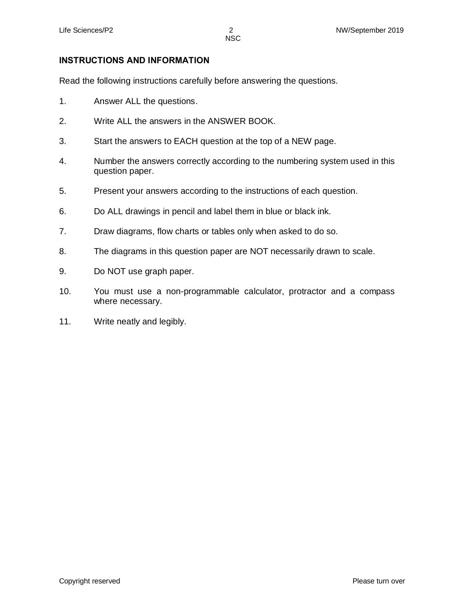#### **INSTRUCTIONS AND INFORMATION**

Read the following instructions carefully before answering the questions.

- 1. Answer ALL the questions.
- 2. Write ALL the answers in the ANSWER BOOK.
- 3. Start the answers to EACH question at the top of a NEW page.
- 4. Number the answers correctly according to the numbering system used in this question paper.
- 5. Present your answers according to the instructions of each question.
- 6. Do ALL drawings in pencil and label them in blue or black ink.
- 7. Draw diagrams, flow charts or tables only when asked to do so.
- 8. The diagrams in this question paper are NOT necessarily drawn to scale.
- 9. Do NOT use graph paper.
- 10. You must use a non-programmable calculator, protractor and a compass where necessary.
- 11. Write neatly and legibly.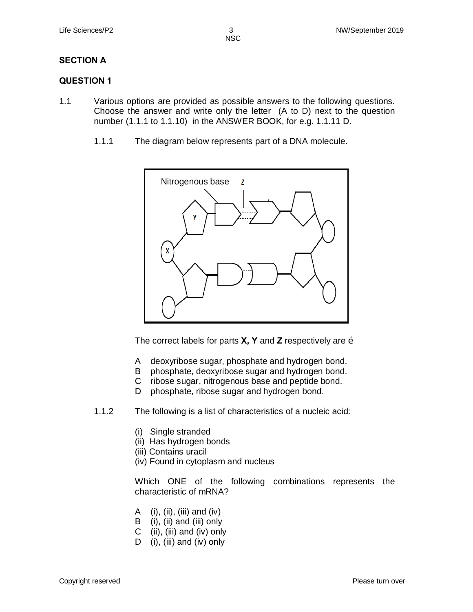#### **SECTION A**

#### **QUESTION 1**

- 1.1 Various options are provided as possible answers to the following questions. Choose the answer and write only the letter (A to D) next to the question number (1.1.1 to 1.1.10) in the ANSWER BOOK, for e.g. 1.1.11 D.
	- 1.1.1 The diagram below represents part of a DNA molecule.



The correct labels for parts **X, Y** and **Z** respectively are …

- A deoxyribose sugar, phosphate and hydrogen bond.
- B phosphate, deoxyribose sugar and hydrogen bond.
- C ribose sugar, nitrogenous base and peptide bond.
- D phosphate, ribose sugar and hydrogen bond.
- 1.1.2 The following is a list of characteristics of a nucleic acid:
	- (i) Single stranded
	- (ii) Has hydrogen bonds
	- (iii) Contains uracil
	- (iv) Found in cytoplasm and nucleus

Which ONE of the following combinations represents the characteristic of mRNA?

- A (i), (ii), (iii) and (iv)
- B (i), (ii) and (iii) only
- C (ii), (iii) and (iv) only
- D (i), (iii) and (iv) only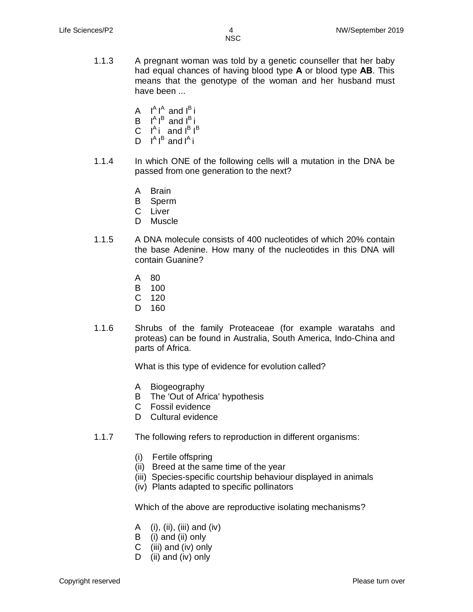- 1.1.3 A pregnant woman was told by a genetic counseller that her baby had equal chances of having blood type **A** or blood type **AB**. This means that the genotype of the woman and her husband must have been ...
	- A  $I^A I^A$  and  $I^B$  i
	- $B$   $I^A I^B$  and  $I^B$  i
	- C  $I^A$ i and  $I^B$   $I^B$
	- D  $I^A I^B$  and  $I^A$  i
- 1.1.4 In which ONE of the following cells will a mutation in the DNA be passed from one generation to the next?
	- A Brain
	- B Sperm
	- C Liver
	- D Muscle
- 1.1.5 A DNA molecule consists of 400 nucleotides of which 20% contain the base Adenine. How many of the nucleotides in this DNA will contain Guanine?
	- A 80
	- B 100
	- C 120
	- D 160
- 1.1.6 Shrubs of the family Proteaceae (for example waratahs and proteas) can be found in Australia, South America, Indo-China and parts of Africa.

What is this type of evidence for evolution called?

- A Biogeography
- B The 'Out of Africa' hypothesis
- C Fossil evidence
- D Cultural evidence
- 1.1.7 The following refers to reproduction in different organisms:
	- (i) Fertile offspring
	- (ii) Breed at the same time of the year
	- (iii) Species-specific courtship behaviour displayed in animals
	- (iv) Plants adapted to specific pollinators

Which of the above are reproductive isolating mechanisms?

- A (i), (ii), (iii) and (iv)
- B (i) and (ii) only
- C (iii) and (iv) only
- D (ii) and (iv) only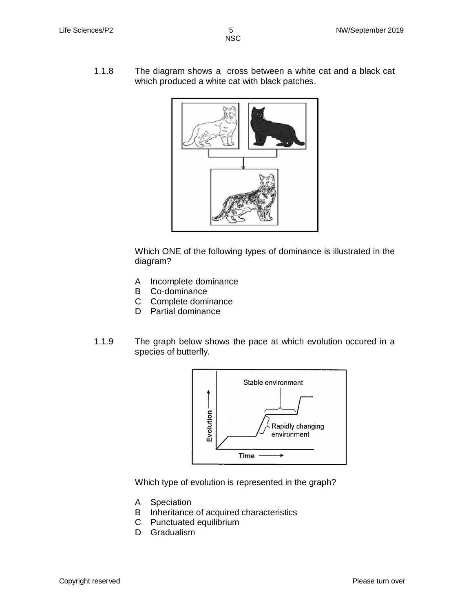1.1.8 The diagram shows a cross between a white cat and a black cat which produced a white cat with black patches.



Which ONE of the following types of dominance is illustrated in the diagram?

- A Incomplete dominance
- B Co-dominance
- C Complete dominance
- D Partial dominance
- 1.1.9 The graph below shows the pace at which evolution occured in a species of butterfly.



Which type of evolution is represented in the graph?

- A Speciation
- B Inheritance of acquired characteristics
- C Punctuated equilibrium
- D Gradualism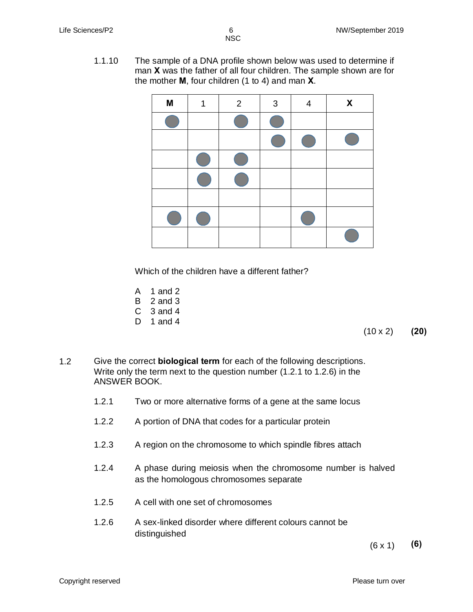1.1.10 The sample of a DNA profile shown below was used to determine if man **X** was the father of all four children. The sample shown are for the mother **M**, four children (1 to 4) and man **X**.

| M | 1 | 2 | $\mathbf{3}$ | 4 | X |
|---|---|---|--------------|---|---|
|   |   |   |              |   |   |
|   |   |   |              |   |   |
|   |   |   |              |   |   |
|   |   |   |              |   |   |
|   |   |   |              |   |   |
|   |   |   |              |   |   |
|   |   |   |              |   |   |

Which of the children have a different father?

- A 1 and 2
- B 2 and 3
- C 3 and 4
- D 1 and 4

(10 x 2) **(20)**

- 1.2 Give the correct **biological term** for each of the following descriptions. Write only the term next to the question number (1.2.1 to 1.2.6) in the ANSWER BOOK.
	- 1.2.1 Two or more alternative forms of a gene at the same locus
	- 1.2.2 A portion of DNA that codes for a particular protein
	- 1.2.3 A region on the chromosome to which spindle fibres attach
	- 1.2.4 A phase during meiosis when the chromosome number is halved as the homologous chromosomes separate
	- 1.2.5 A cell with one set of chromosomes
	- 1.2.6 A sex-linked disorder where different colours cannot be distinguished

 $(6 \times 1)$  (6)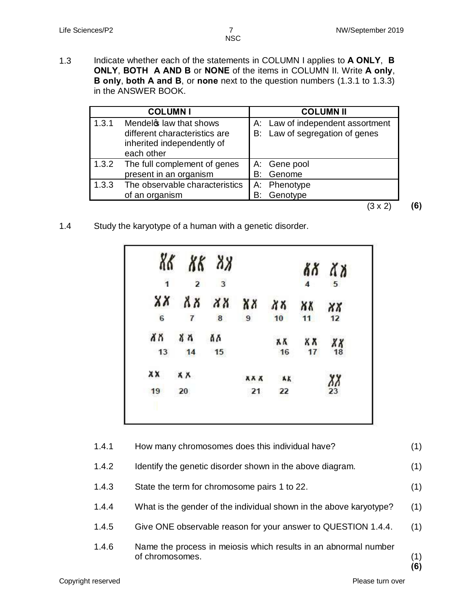1.3 Indicate whether each of the statements in COLUMN I applies to **A ONLY**, **B ONLY**, **BOTH A AND B** or **NONE** of the items in COLUMN II. Write **A only**, **B only**, **both A and B**, or **none** next to the question numbers (1.3.1 to 1.3.3) in the ANSWER BOOK.

|       | <b>COLUMNI</b>                                                                                      |    | <b>COLUMN II</b>                                                   |
|-------|-----------------------------------------------------------------------------------------------------|----|--------------------------------------------------------------------|
| 1.3.1 | Mendels law that shows<br>different characteristics are<br>inherited independently of<br>each other |    | A: Law of independent assortment<br>B: Law of segregation of genes |
| 1.3.2 | The full complement of genes<br>present in an organism                                              | B: | A: Gene pool<br>Genome                                             |
| 1.3.3 | The observable characteristics<br>of an organism                                                    | B: | A: Phenotype<br>Genotype                                           |
|       |                                                                                                     |    |                                                                    |

1.4 Study the karyotype of a human with a genetic disorder.

|              | 86 88 88       |    |            |           |                | ልጸ ለአ             |
|--------------|----------------|----|------------|-----------|----------------|-------------------|
| $\mathbf{1}$ | $2 \t3$        |    |            |           | $\overline{4}$ | 5                 |
|              | xx xx xx xx    |    |            | $XX$ $XX$ |                | $\chi\chi$        |
| 6            | $\overline{7}$ | 8  | 9          | 10        | 11             | 12                |
| XX           | 首の             | Ăδ |            | አለ        | XΧ             | ΧX                |
| 13           | 14             | 15 |            | 16        | 17             | 18                |
| XX           | <b>XX</b>      |    | <b>XXX</b> | AK        |                | $\frac{\chi}{23}$ |
| 19           | 20             |    | 21         | 22        |                |                   |

| 1.4.1 | How many chromosomes does this individual have?                                    | (1)       |
|-------|------------------------------------------------------------------------------------|-----------|
| 1.4.2 | Identify the genetic disorder shown in the above diagram.                          | (1)       |
| 1.4.3 | State the term for chromosome pairs 1 to 22.                                       | (1)       |
| 1.4.4 | What is the gender of the individual shown in the above karyotype?                 | (1)       |
| 1.4.5 | Give ONE observable reason for your answer to QUESTION 1.4.4.                      | (1)       |
| 1.4.6 | Name the process in meiosis which results in an abnormal number<br>of chromosomes. | (1)<br>(6 |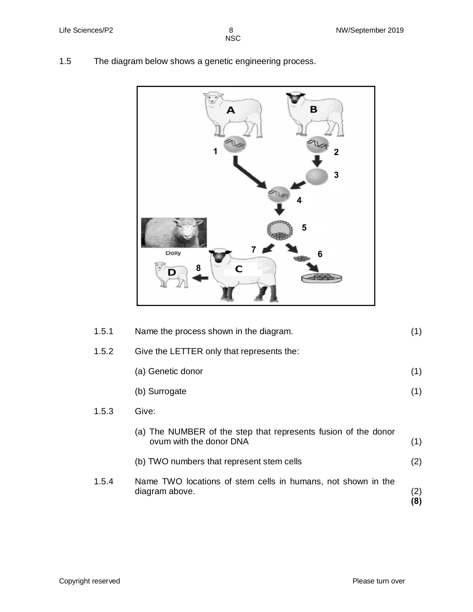$rac{8}{NSC}$ 

1.5 The diagram below shows a genetic engineering process.



| 1.5.1 | Name the process shown in the diagram.                                                    | (1)        |
|-------|-------------------------------------------------------------------------------------------|------------|
| 1.5.2 | Give the LETTER only that represents the:                                                 |            |
|       | (a) Genetic donor                                                                         | (1)        |
|       | (b) Surrogate                                                                             | (1)        |
| 1.5.3 | Give:                                                                                     |            |
|       | (a) The NUMBER of the step that represents fusion of the donor<br>ovum with the donor DNA | (1)        |
|       | (b) TWO numbers that represent stem cells                                                 | (2)        |
| 1.5.4 | Name TWO locations of stem cells in humans, not shown in the<br>diagram above.            | (2)<br>(8) |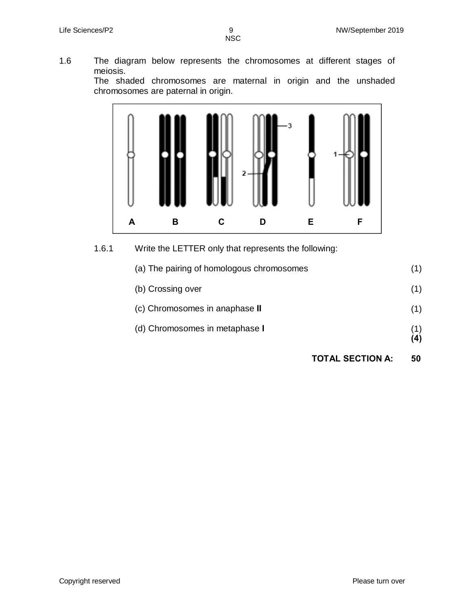1.6 The diagram below represents the chromosomes at different stages of meiosis.

The shaded chromosomes are maternal in origin and the unshaded chromosomes are paternal in origin.



### 1.6.1 Write the LETTER only that represents the following:

| <b>TOTAL SECTION A:</b>                   | 50         |
|-------------------------------------------|------------|
|                                           | (1)<br>(4) |
| (d) Chromosomes in metaphase I            |            |
| (c) Chromosomes in anaphase II            | (1)        |
| (b) Crossing over                         | (1)        |
| (a) The pairing of homologous chromosomes | (1)        |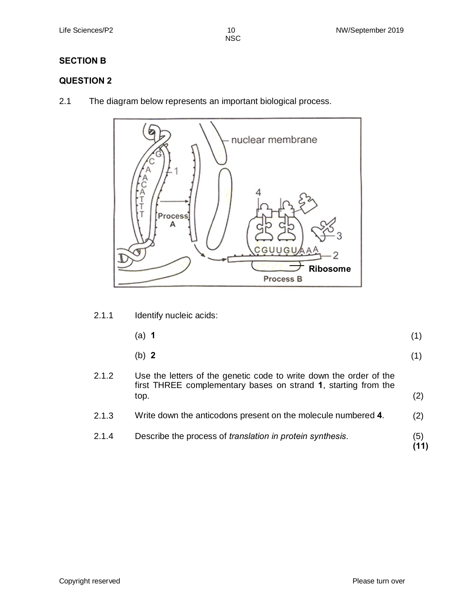### **SECTION B**

### **QUESTION 2**

2.1 The diagram below represents an important biological process.



2.1.1 Identify nucleic acids:

| $(a)$ 1 | (1) |  |
|---------|-----|--|
|         |     |  |

- (b) **2** (1)
- 2.1.2 Use the letters of the genetic code to write down the order of the first THREE complementary bases on strand **1**, starting from the  $top.$  (2) 2.1.3 Write down the anticodons present on the molecule numbered **4**. (2)
- 2.1.4 Describe the process of *translation in protein synthesis.* (5)

**(11)**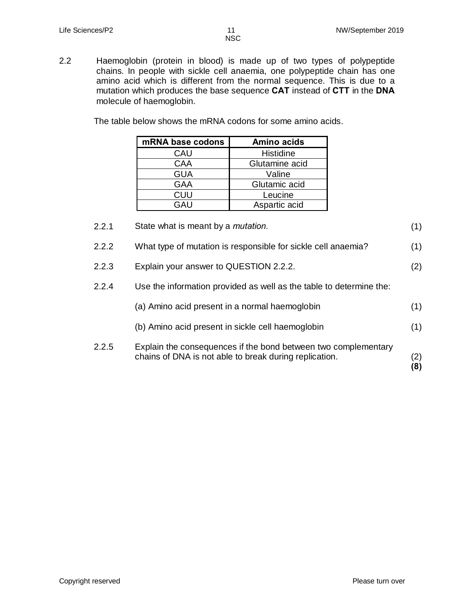- NSC
- 2.2 Haemoglobin (protein in blood) is made up of two types of polypeptide chains. In people with sickle cell anaemia, one polypeptide chain has one amino acid which is different from the normal sequence. This is due to a mutation which produces the base sequence **CAT** instead of **CTT** in the **DNA** molecule of haemoglobin.

The table below shows the mRNA codons for some amino acids.

| mRNA base codons | <b>Amino acids</b> |
|------------------|--------------------|
| CAU              | Histidine          |
| CAA              | Glutamine acid     |
| <b>GUA</b>       | Valine             |
| GAA              | Glutamic acid      |
| CUU              | Leucine            |
| GAU              | Aspartic acid      |

| 2.2.1 | State what is meant by a <i>mutation</i> .                                                                               | (1)        |
|-------|--------------------------------------------------------------------------------------------------------------------------|------------|
| 2.2.2 | What type of mutation is responsible for sickle cell anaemia?                                                            | (1)        |
| 2.2.3 | Explain your answer to QUESTION 2.2.2.                                                                                   | (2)        |
| 2.2.4 | Use the information provided as well as the table to determine the:                                                      |            |
|       | (a) Amino acid present in a normal haemoglobin                                                                           | (1)        |
|       | (b) Amino acid present in sickle cell haemoglobin                                                                        | (1)        |
| 2.2.5 | Explain the consequences if the bond between two complementary<br>chains of DNA is not able to break during replication. | (2)<br>(8) |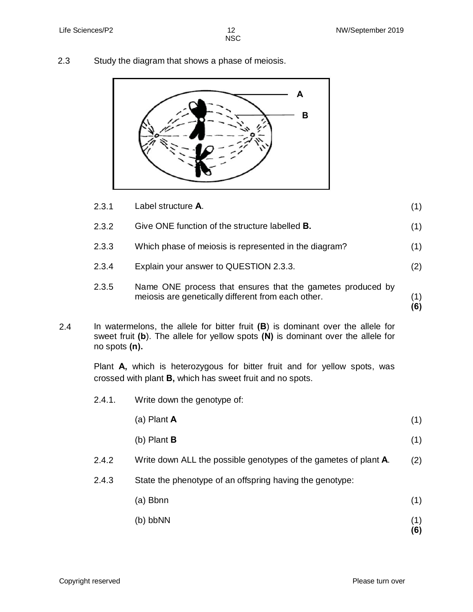2.3 Study the diagram that shows a phase of meiosis.



|     | 2.3.1         | Label structure A.                                                                                                                                                      | (1)        |
|-----|---------------|-------------------------------------------------------------------------------------------------------------------------------------------------------------------------|------------|
|     | 2.3.2         | Give ONE function of the structure labelled B.                                                                                                                          | (1)        |
|     | 2.3.3         | Which phase of meiosis is represented in the diagram?                                                                                                                   | (1)        |
|     | 2.3.4         | Explain your answer to QUESTION 2.3.3.                                                                                                                                  | (2)        |
|     | 2.3.5         | Name ONE process that ensures that the gametes produced by<br>meiosis are genetically different from each other.                                                        | (1)<br>(6) |
| 2.4 | no spots (n). | In watermelons, the allele for bitter fruit $(B)$ is dominant over the allele for<br>sweet fruit (b). The allele for yellow spots $(N)$ is dominant over the allele for |            |
|     |               | Plant A, which is heterozygous for bitter fruit and for yellow spots, was<br>crossed with plant <b>B</b> , which has sweet fruit and no spots.                          |            |
|     | 2.4.1.        | Write down the genotype of:                                                                                                                                             |            |
|     |               | (a) Plant $A$                                                                                                                                                           | (1)        |
|     |               | (b) Plant $B$                                                                                                                                                           | (1)        |
|     | 2.4.2         | Write down ALL the possible genotypes of the gametes of plant A.                                                                                                        | (2)        |
|     | 2.4.3         | State the phenotype of an offspring having the genotype:                                                                                                                |            |
|     |               | (a) Bbnn                                                                                                                                                                | (1)        |
|     |               | (b) bbNN                                                                                                                                                                | (1)<br>(6) |

Copyright reserved **Please** turn over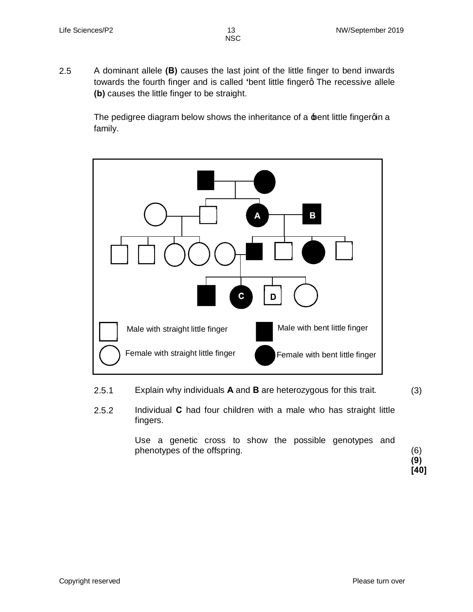2.5 A dominant allele **(B)** causes the last joint of the little finger to bend inwards towards the fourth finger and is called 'bent little fingerg The recessive allele **(b)** causes the little finger to be straight.

> The pedigree diagram below shows the inheritance of a  $\pm$ ent little fingergin a family.



- 2.5.1 Explain why individuals **A** and **B** are heterozygous for this trait. (3)
- 2.5.2 Individual **C** had four children with a male who has straight little fingers.

Use a genetic cross to show the possible genotypes and phenotypes of the offspring. (6)

**(9) [40]**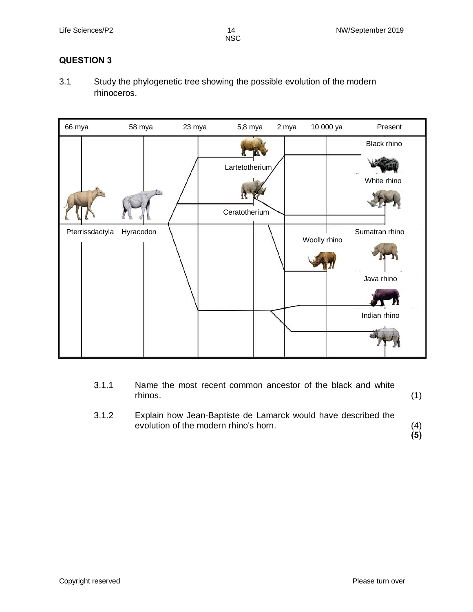### **QUESTION 3**

3.1 Study the phylogenetic tree showing the possible evolution of the modern rhinoceros.



| 3.1.1 | Name the most recent common ancestor of the black and white<br>rhinos.                                 |  |
|-------|--------------------------------------------------------------------------------------------------------|--|
| 3.1.2 | Explain how Jean-Baptiste de Lamarck would have described the<br>evolution of the modern rhino's horn. |  |

**(5)**

Copyright reserved **Please** turn over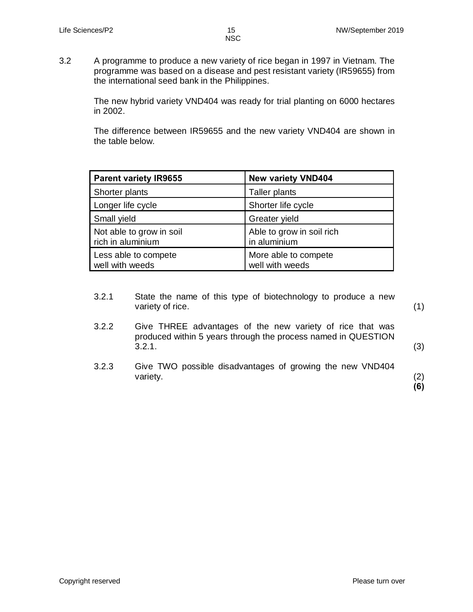3.2 A programme to produce a new variety of rice began in 1997 in Vietnam. The programme was based on a disease and pest resistant variety (IR59655) from the international seed bank in the Philippines.

> The new hybrid variety VND404 was ready for trial planting on 6000 hectares in 2002.

> The difference between IR59655 and the new variety VND404 are shown in the table below.

| <b>Parent variety IR9655</b>                  | <b>New variety VND404</b>                 |
|-----------------------------------------------|-------------------------------------------|
| Shorter plants                                | Taller plants                             |
| Longer life cycle                             | Shorter life cycle                        |
| Small yield                                   | Greater yield                             |
| Not able to grow in soil<br>rich in aluminium | Able to grow in soil rich<br>in aluminium |
| Less able to compete<br>well with weeds       | More able to compete<br>well with weeds   |

- 3.2.1 State the name of this type of biotechnology to produce a new variety of rice.
- 3.2.2 Give THREE advantages of the new variety of rice that was produced within 5 years through the process named in QUESTION  $3.2.1.$
- 3.2.3 Give TWO possible disadvantages of growing the new VND404 variety. (2)

**(6)**

(1)

(3)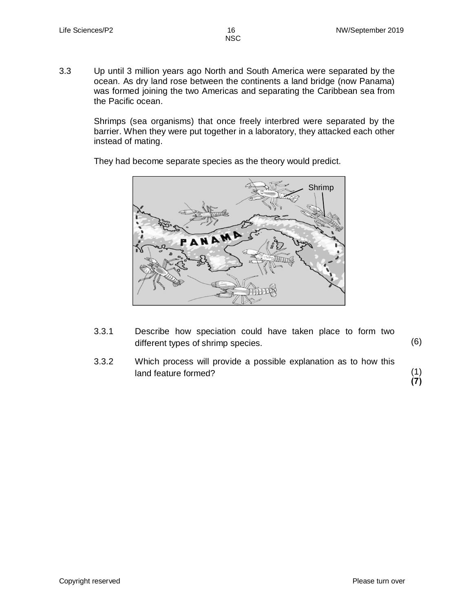3.3 Up until 3 million years ago North and South America were separated by the ocean. As dry land rose between the continents a land bridge (now Panama) was formed joining the two Americas and separating the Caribbean sea from the Pacific ocean.

NSC

Shrimps (sea organisms) that once freely interbred were separated by the barrier. When they were put together in a laboratory, they attacked each other instead of mating.

They had become separate species as the theory would predict.



- 3.3.1 Describe how speciation could have taken place to form two different types of shrimp species. (6)
- 3.3.2 Which process will provide a possible explanation as to how this land feature formed? (1)

**(7)**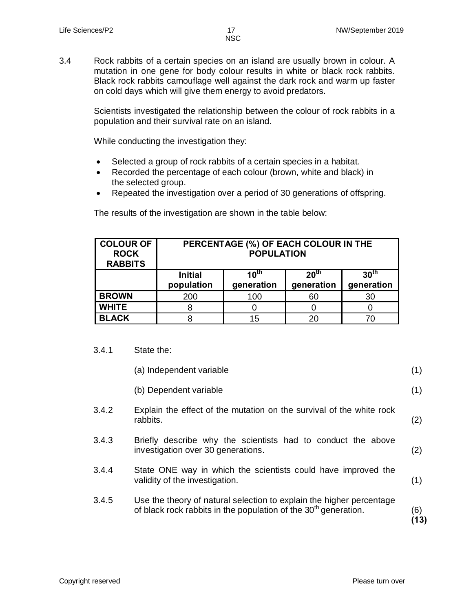3.4 Rock rabbits of a certain species on an island are usually brown in colour. A mutation in one gene for body colour results in white or black rock rabbits. Black rock rabbits camouflage well against the dark rock and warm up faster on cold days which will give them energy to avoid predators.

> Scientists investigated the relationship between the colour of rock rabbits in a population and their survival rate on an island.

While conducting the investigation they:

- · Selected a group of rock rabbits of a certain species in a habitat.
- Recorded the percentage of each colour (brown, white and black) in the selected group.
- · Repeated the investigation over a period of 30 generations of offspring.

| <b>COLOUR OF</b><br><b>ROCK</b><br><b>RABBITS</b> | PERCENTAGE (%) OF EACH COLOUR IN THE<br><b>POPULATION</b> |                                |                                |                                |  |
|---------------------------------------------------|-----------------------------------------------------------|--------------------------------|--------------------------------|--------------------------------|--|
|                                                   | <b>Initial</b><br>population                              | $10^{\text{th}}$<br>generation | 20 <sup>th</sup><br>generation | 30 <sup>th</sup><br>generation |  |
| <b>BROWN</b>                                      | 200                                                       | 100                            | 60                             | 30                             |  |
| <b>WHITE</b>                                      |                                                           |                                |                                |                                |  |
| <b>BLACK</b>                                      |                                                           | 15                             | 20                             |                                |  |

The results of the investigation are shown in the table below:

3.4.1 State the:

|       | (a) Independent variable                                                                                                                            | (1)         |
|-------|-----------------------------------------------------------------------------------------------------------------------------------------------------|-------------|
|       | (b) Dependent variable                                                                                                                              | (1)         |
| 3.4.2 | Explain the effect of the mutation on the survival of the white rock<br>rabbits.                                                                    | (2)         |
| 3.4.3 | Briefly describe why the scientists had to conduct the above<br>investigation over 30 generations.                                                  | (2)         |
| 3.4.4 | State ONE way in which the scientists could have improved the<br>validity of the investigation.                                                     | (1)         |
| 3.4.5 | Use the theory of natural selection to explain the higher percentage<br>of black rock rabbits in the population of the 30 <sup>th</sup> generation. | (6)<br>(13) |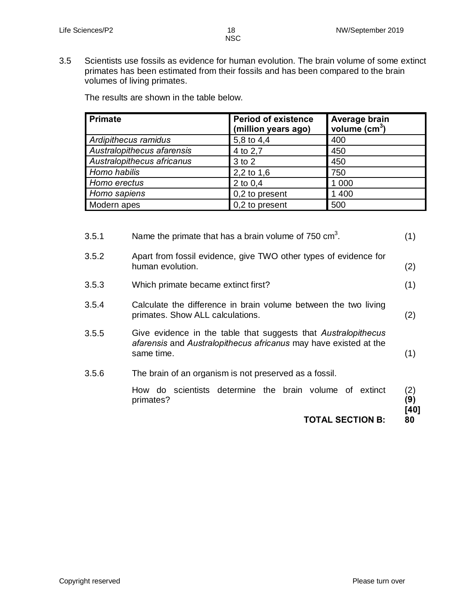3.5 Scientists use fossils as evidence for human evolution. The brain volume of some extinct primates has been estimated from their fossils and has been compared to the brain volumes of living primates.

The results are shown in the table below.

| <b>Primate</b>             | <b>Period of existence</b><br>(million years ago) | Average brain<br>volume $(cm3)$ |
|----------------------------|---------------------------------------------------|---------------------------------|
| Ardipithecus ramidus       | 5,8 to 4,4                                        | 400                             |
| Australopithecus afarensis | 4 to 2,7                                          | 450                             |
| Australopithecus africanus | 3 to 2                                            | 450                             |
| Homo habilis               | 2,2 to 1,6                                        | 750                             |
| Homo erectus               | 2 to $0,4$                                        | 1 0 0 0                         |
| Homo sapiens               | 0,2 to present                                    | 1 400                           |
| Modern apes                | 0,2 to present                                    | 500                             |

|       | <b>TOTAL SECTION B:</b>                                                                                                                          | [40]<br>80 |  |
|-------|--------------------------------------------------------------------------------------------------------------------------------------------------|------------|--|
|       | How do scientists determine the brain volume of extinct<br>primates?                                                                             | (2)<br>(9) |  |
| 3.5.6 | The brain of an organism is not preserved as a fossil.                                                                                           |            |  |
| 3.5.5 | Give evidence in the table that suggests that Australopithecus<br>afarensis and Australopithecus africanus may have existed at the<br>same time. | (1)        |  |
| 3.5.4 | Calculate the difference in brain volume between the two living<br>primates. Show ALL calculations.                                              | (2)        |  |
| 3.5.3 | Which primate became extinct first?                                                                                                              | (1)        |  |
| 3.5.2 | Apart from fossil evidence, give TWO other types of evidence for<br>human evolution.                                                             | (2)        |  |
| 3.5.1 | Name the primate that has a brain volume of 750 $\text{cm}^3$ .                                                                                  |            |  |